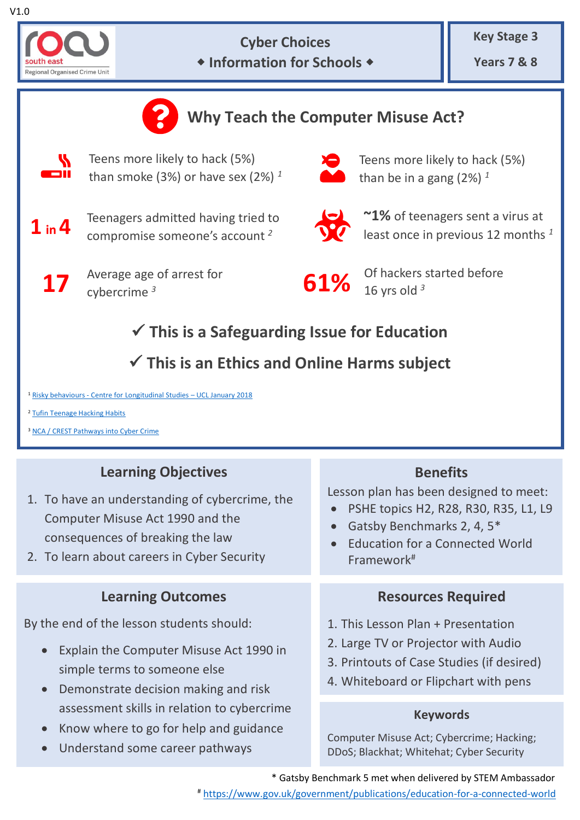



## **Cyber Choices Information for Schools**

**Key Stage 3**

**Years 7 & 8**



# **Learning Objectives**

- 1. To have an understanding of cybercrime, the Computer Misuse Act 1990 and the consequences of breaking the law
- 2. To learn about careers in Cyber Security

## **Learning Outcomes**

By the end of the lesson students should:

- Explain the Computer Misuse Act 1990 in simple terms to someone else
- Demonstrate decision making and risk assessment skills in relation to cybercrime
- Know where to go for help and guidance
- Understand some career pathways

## **Benefits**

Lesson plan has been designed to meet:

- PSHE topics H2, R28, R30, R35, L1, L9
- Gatsby Benchmarks 2, 4, 5<sup>\*</sup>
- Education for a Connected World Framework#

## **Resources Required**

- 1. This Lesson Plan + Presentation
- 2. Large TV or Projector with Audio
- 3. Printouts of Case Studies (if desired)
- 4. Whiteboard or Flipchart with pens

### **Keywords**

Computer Misuse Act; Cybercrime; Hacking; DDoS; Blackhat; Whitehat; Cyber Security

\* Gatsby Benchmark 5 met when delivered by STEM Ambassador

# <https://www.gov.uk/government/publications/education-for-a-connected-world>